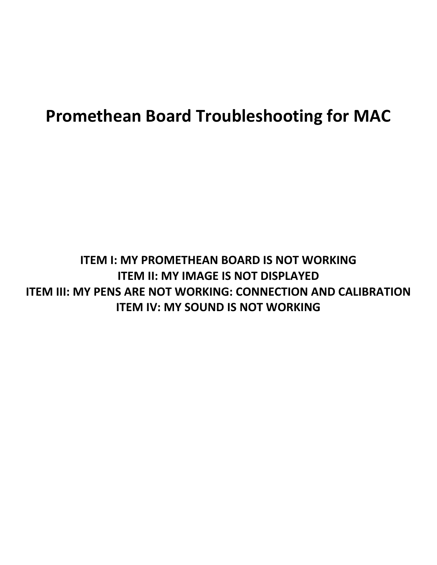# **Promethean Board Troubleshooting for MAC**

## **ITEM I: MY PROMETHEAN BOARD IS NOT WORKING ITEM II: MY IMAGE IS NOT DISPLAYED ITEM III: MY PENS ARE NOT WORKING: CONNECTION AND CALIBRATION ITEM IV: MY SOUND IS NOT WORKING**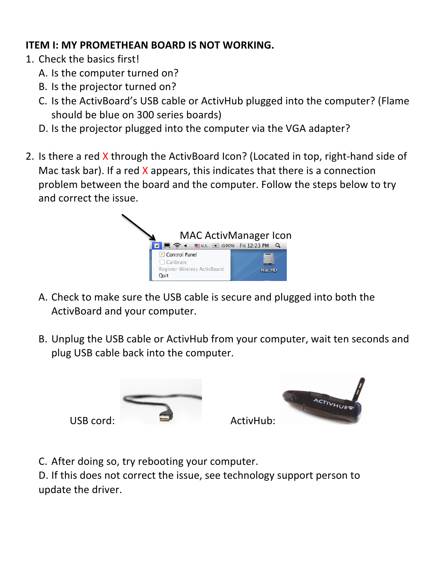#### **ITEM I: MY PROMETHEAN BOARD IS NOT WORKING.**

- 1. Check the basics first!
	- A. Is the computer turned on?
	- B. Is the projector turned on?
	- C. Is the ActivBoard's USB cable or ActivHub plugged into the computer? (Flame should be blue on 300 series boards)
	- D. Is the projector plugged into the computer via the VGA adapter?
- 2. Is there a red X through the ActivBoard Icon? (Located in top, right-hand side of Mac task bar). If a red  $X$  appears, this indicates that there is a connection problem between the board and the computer. Follow the steps below to try and correct the issue.



- A. Check to make sure the USB cable is secure and plugged into both the ActivBoard and your computer.
- B. Unplug the USB cable or ActivHub from your computer, wait ten seconds and plug USB cable back into the computer.



C. After doing so, try rebooting your computer.

D. If this does not correct the issue, see technology support person to update the driver.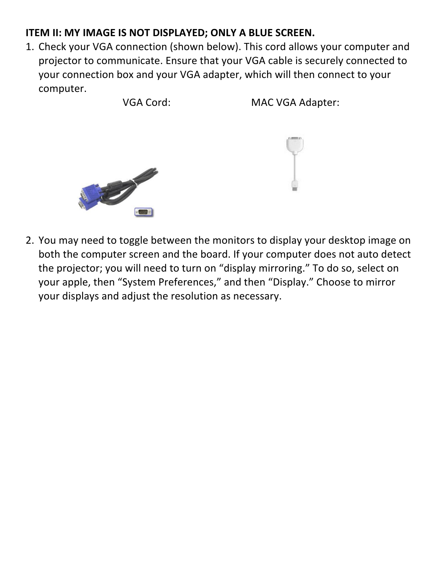#### **ITEM II: MY IMAGE IS NOT DISPLAYED; ONLY A BLUE SCREEN.**

1. Check your VGA connection (shown below). This cord allows your computer and projector to communicate. Ensure that your VGA cable is securely connected to your connection box and your VGA adapter, which will then connect to your computer.

VGA Cord: MAC VGA Adapter:





2. You may need to toggle between the monitors to display your desktop image on both the computer screen and the board. If your computer does not auto detect the projector; you will need to turn on "display mirroring." To do so, select on your apple, then "System Preferences," and then "Display." Choose to mirror your displays and adjust the resolution as necessary.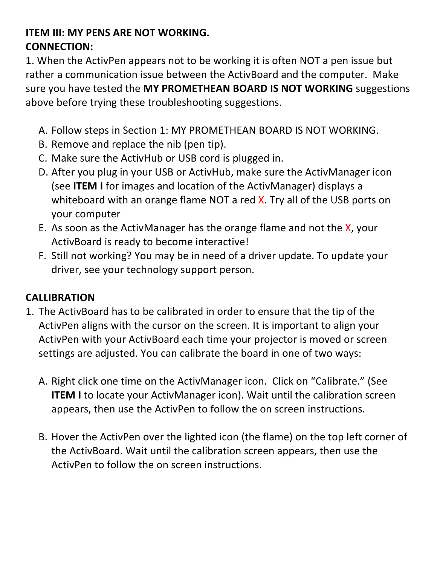### **ITEM III: MY PENS ARE NOT WORKING. CONNECTION:**

1. When the ActivPen appears not to be working it is often NOT a pen issue but rather a communication issue between the ActivBoard and the computer. Make sure you have tested the MY PROMETHEAN BOARD IS NOT WORKING suggestions above before trying these troubleshooting suggestions.

- A. Follow steps in Section 1: MY PROMETHEAN BOARD IS NOT WORKING.
- B. Remove and replace the nib (pen tip).
- C. Make sure the ActivHub or USB cord is plugged in.
- D. After you plug in your USB or ActivHub, make sure the ActivManager icon (see **ITEM I** for images and location of the ActivManager) displays a whiteboard with an orange flame NOT a red  $X$ . Try all of the USB ports on your computer
- E. As soon as the ActivManager has the orange flame and not the  $X$ , your ActivBoard is ready to become interactive!
- F. Still not working? You may be in need of a driver update. To update your driver, see your technology support person.

### **CALLIBRATION**

- 1. The ActivBoard has to be calibrated in order to ensure that the tip of the ActivPen aligns with the cursor on the screen. It is important to align your ActivPen with your ActivBoard each time your projector is moved or screen settings are adjusted. You can calibrate the board in one of two ways:
	- A. Right click one time on the ActivManager icon. Click on "Calibrate." (See **ITEM I** to locate your ActivManager icon). Wait until the calibration screen appears, then use the ActivPen to follow the on screen instructions.
	- B. Hover the ActivPen over the lighted icon (the flame) on the top left corner of the ActivBoard. Wait until the calibration screen appears, then use the ActivPen to follow the on screen instructions.